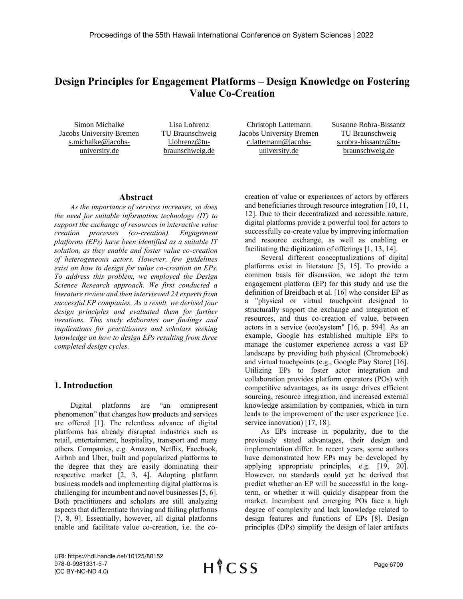# **Design Principles for Engagement Platforms – Design Knowledge on Fostering Value Co-Creation**

Simon Michalke Jacobs University Bremen s.michalke@jacobsuniversity.de

Lisa Lohrenz TU Braunschweig l.lohrenz@tubraunschweig.de

Christoph Lattemann Jacobs University Bremen c.lattemann@jacobsuniversity.de

Susanne Robra-Bissantz TU Braunschweig s.robra-bissantz@tubraunschweig.de

#### **Abstract**

*As the importance of services increases, so does the need for suitable information technology (IT) to support the exchange of resources in interactive value creation processes (co-creation). Engagement platforms (EPs) have been identified as a suitable IT solution, as they enable and foster value co-creation of heterogeneous actors. However, few guidelines exist on how to design for value co-creation on EPs. To address this problem, we employed the Design Science Research approach. We first conducted a literature review and then interviewed 24 experts from successful EP companies. As a result, we derived four design principles and evaluated them for further iterations. This study elaborates our findings and implications for practitioners and scholars seeking knowledge on how to design EPs resulting from three completed design cycles.*

#### **1. Introduction**

Digital platforms are "an omnipresent phenomenon" that changes how products and services are offered [1]. The relentless advance of digital platforms has already disrupted industries such as retail, entertainment, hospitality, transport and many others. Companies, e.g. Amazon, Netflix, Facebook, Airbnb and Uber, built and popularized platforms to the degree that they are easily dominating their respective market [2, 3, 4]. Adopting platform business models and implementing digital platforms is challenging for incumbent and novel businesses [5, 6]. Both practitioners and scholars are still analyzing aspects that differentiate thriving and failing platforms [7, 8, 9]. Essentially, however, all digital platforms enable and facilitate value co-creation, i.e. the cocreation of value or experiences of actors by offerers and beneficiaries through resource integration [10, 11, 12]. Due to their decentralized and accessible nature, digital platforms provide a powerful tool for actors to successfully co-create value by improving information and resource exchange, as well as enabling or facilitating the digitization of offerings [1, 13, 14].

Several different conceptualizations of digital platforms exist in literature [5, 15]. To provide a common basis for discussion, we adopt the term engagement platform (EP) for this study and use the definition of Breidbach et al. [16] who consider EP as a "physical or virtual touchpoint designed to structurally support the exchange and integration of resources, and thus co-creation of value, between actors in a service (eco)system" [16, p. 594]. As an example, Google has established multiple EPs to manage the customer experience across a vast EP landscape by providing both physical (Chromebook) and virtual touchpoints (e.g., Google Play Store) [16]. Utilizing EPs to foster actor integration and collaboration provides platform operators (POs) with competitive advantages, as its usage drives efficient sourcing, resource integration, and increased external knowledge assimilation by companies, which in turn leads to the improvement of the user experience (i.e. service innovation) [17, 18].

As EPs increase in popularity, due to the previously stated advantages, their design and implementation differ. In recent years, some authors have demonstrated how EPs may be developed by applying appropriate principles, e.g. [19, 20]. However, no standards could yet be derived that predict whether an EP will be successful in the longterm, or whether it will quickly disappear from the market. Incumbent and emerging POs face a high degree of complexity and lack knowledge related to design features and functions of EPs [8]. Design principles (DPs) simplify the design of later artifacts

URI: https://hdl.handle.net/10125/80152 978-0-9981331-5-7 (CC BY-NC-ND 4.0)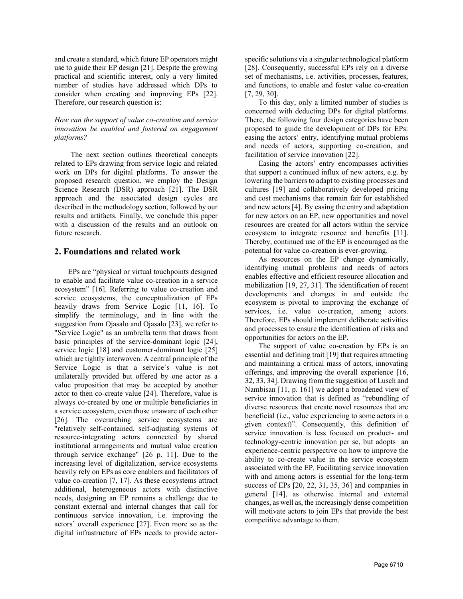and create a standard, which future EP operators might use to guide their EP design [21]. Despite the growing practical and scientific interest, only a very limited number of studies have addressed which DPs to consider when creating and improving EPs [22]. Therefore, our research question is:

#### *How can the support of value co-creation and service innovation be enabled and fostered on engagement platforms?*

The next section outlines theoretical concepts related to EPs drawing from service logic and related work on DPs for digital platforms. To answer the proposed research question, we employ the Design Science Research (DSR) approach [21]. The DSR approach and the associated design cycles are described in the methodology section, followed by our results and artifacts. Finally, we conclude this paper with a discussion of the results and an outlook on future research.

## **2. Foundations and related work**

EPs are "physical or virtual touchpoints designed to enable and facilitate value co-creation in a service ecosystem" [16]. Referring to value co-creation and service ecosystems, the conceptualization of EPs heavily draws from Service Logic [11, 16]. To simplify the terminology, and in line with the suggestion from Ojasalo and Ojasalo [23], we refer to "Service Logic" as an umbrella term that draws from basic principles of the service-dominant logic [24], service logic [18] and customer-dominant logic [25] which are tightly interwoven. A central principle of the Service Logic is that a service´s value is not unilaterally provided but offered by one actor as a value proposition that may be accepted by another actor to then co-create value [24]. Therefore, value is always co-created by one or multiple beneficiaries in a service ecosystem, even those unaware of each other [26]. The overarching service ecosystems are "relatively self-contained, self-adjusting systems of resource-integrating actors connected by shared institutional arrangements and mutual value creation through service exchange" [26 p. 11]. Due to the increasing level of digitalization, service ecosystems heavily rely on EPs as core enablers and facilitators of value co-creation [7, 17]. As these ecosystems attract additional, heterogeneous actors with distinctive needs, designing an EP remains a challenge due to constant external and internal changes that call for continuous service innovation, i.e. improving the actors' overall experience [27]. Even more so as the digital infrastructure of EPs needs to provide actorspecific solutions via a singular technological platform [28]. Consequently, successful EPs rely on a diverse set of mechanisms, i.e. activities, processes, features, and functions, to enable and foster value co-creation [7, 29, 30].

To this day, only a limited number of studies is concerned with deducting DPs for digital platforms. There, the following four design categories have been proposed to guide the development of DPs for EPs: easing the actors' entry, identifying mutual problems and needs of actors, supporting co-creation, and facilitation of service innovation [22].

Easing the actors' entry encompasses activities that support a continued influx of new actors, e.g. by lowering the barriers to adapt to existing processes and cultures [19] and collaboratively developed pricing and cost mechanisms that remain fair for established and new actors [4]. By easing the entry and adaptation for new actors on an EP, new opportunities and novel resources are created for all actors within the service ecosystem to integrate resource and benefits [11]. Thereby, continued use of the EP is encouraged as the potential for value co-creation is ever-growing.

As resources on the EP change dynamically, identifying mutual problems and needs of actors enables effective and efficient resource allocation and mobilization [19, 27, 31]. The identification of recent developments and changes in and outside the ecosystem is pivotal to improving the exchange of services, i.e. value co-creation, among actors. Therefore, EPs should implement deliberate activities and processes to ensure the identification of risks and opportunities for actors on the EP.

The support of value co-creation by EPs is an essential and defining trait [19] that requires attracting and maintaining a critical mass of actors, innovating offerings, and improving the overall experience [16, 32, 33, 34]. Drawing from the suggestion of Lusch and Nambisan [11, p. 161] we adopt a broadened view of service innovation that is defined as "rebundling of diverse resources that create novel resources that are beneficial (i.e., value experiencing to some actors in a given context)". Consequently, this definition of service innovation is less focused on product- and technology-centric innovation per se, but adopts an experience-centric perspective on how to improve the ability to co-create value in the service ecosystem associated with the EP. Facilitating service innovation with and among actors is essential for the long-term success of EPs [20, 22, 31, 35, 36] and companies in general [14], as otherwise internal and external changes, as well as, the increasingly dense competition will motivate actors to join EPs that provide the best competitive advantage to them.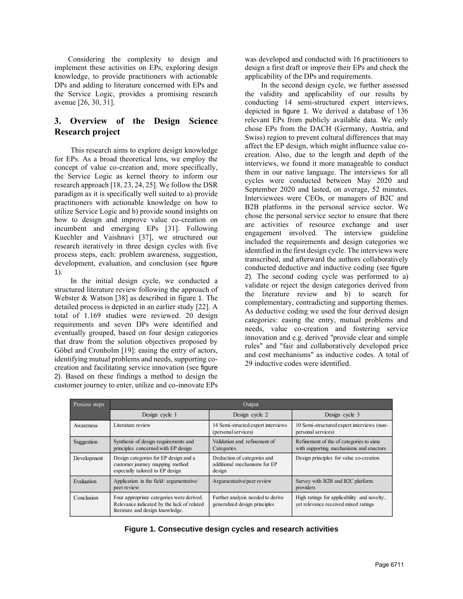Considering the complexity to design and implement these activities on EPs, exploring design knowledge, to provide practitioners with actionable DPs and adding to literature concerned with EPs and the Service Logic, provides a promising research avenue [26, 30, 31].

# **3. Overview of the Design Science Research project**

This research aims to explore design knowledge for EPs. As a broad theoretical lens, we employ the concept of value co-creation and, more specifically, the Service Logic as kernel theory to inform our research approach [18, 23, 24, 25]. We follow the DSR paradigm as it is specifically well suited to a) provide practitioners with actionable knowledge on how to utilize Service Logic and b) provide sound insights on how to design and improve value co-creation on incumbent and emerging EPs [31]. Following Kuechler and Vaishnavi [37], we structured our research iteratively in three design cycles with five process steps, each: problem awareness, suggestion, development, evaluation, and conclusion (see figure 1).

In the initial design cycle, we conducted a structured literature review following the approach of Webster & Watson [38] as described in figure 1. The detailed process is depicted in an earlier study [22]. A total of 1.169 studies were reviewed. 20 design requirements and seven DPs were identified and eventually grouped, based on four design categories that draw from the solution objectives proposed by Göbel and Cronholm [19]: easing the entry of actors, identifying mutual problems and needs, supporting cocreation and facilitating service innovation (see figure 2). Based on these findings a method to design the customer journey to enter, utilize and co-innovate EPs

was developed and conducted with 16 practitioners to design a first draft or improve their EPs and check the applicability of the DPs and requirements.

In the second design cycle, we further assessed the validity and applicability of our results by conducting 14 semi-structured expert interviews, depicted in figure 1. We derived a database of 136 relevant EPs from publicly available data. We only chose EPs from the DACH (Germany, Austria, and Swiss) region to prevent cultural differences that may affect the EP design, which might influence value cocreation. Also, due to the length and depth of the interviews, we found it more manageable to conduct them in our native language. The interviews for all cycles were conducted between May 2020 and September 2020 and lasted, on average, 52 minutes. Interviewees were CEOs, or managers of B2C and B2B platforms in the personal service sector. We chose the personal service sector to ensure that there are activities of resource exchange and user engagement involved. The interview guideline included the requirements and design categories we identified in the first design cycle. The interviews were transcribed, and afterward the authors collaboratively conducted deductive and inductive coding (see figure 2). The second coding cycle was performed to a) validate or reject the design categories derived from the literature review and b) to search for complementary, contradicting and supporting themes. As deductive coding we used the four derived design categories: easing the entry, mutual problems and needs, value co-creation and fostering service innovation and e.g. derived "provide clear and simple rules" and "fair and collaboratively developed price and cost mechanisms" as inductive codes. A total of 29 inductive codes were identified.

| Process steps | Output                                                                                                                      |                                                                       |                                                                                     |  |  |  |
|---------------|-----------------------------------------------------------------------------------------------------------------------------|-----------------------------------------------------------------------|-------------------------------------------------------------------------------------|--|--|--|
|               | Design cycle 1                                                                                                              | Design cycle 2                                                        | Design cycle 3                                                                      |  |  |  |
| Awareness     | Literature review                                                                                                           | 14 Semi-structed expert interviews<br>(personal services)             | 10 Semi-structured expert interviews (non-<br>personal services)                    |  |  |  |
| Suggestion    | Synthesis of design requirements and<br>principles concerned with EP design                                                 | Validation and refinement of<br>Categories                            | Refinement of the of categories to aims<br>with supporting mechanisms and enactors  |  |  |  |
| Development   | Design categories for EP design and a<br>customer journey mapping method<br>especially tailored to EP design                | Deduction of categories and<br>additional mechanisms for EP<br>design | Design principles for value co-creation                                             |  |  |  |
| Evaluation    | Application in the field/argumentative/<br>peer review                                                                      | Argumentative/peer review                                             | Survey with B2B and B2C platform<br>providers                                       |  |  |  |
| Conclusion    | Four appropriate categories were derived.<br>Relevance indicated by the lack of related<br>literature and design knowledge. | Further analysis needed to derive<br>generalized design principles    | High ratings for applicability and novelty,<br>yet relevance received mixed ratings |  |  |  |

|  | Figure 1. Consecutive design cycles and research activities |  |  |  |  |
|--|-------------------------------------------------------------|--|--|--|--|
|--|-------------------------------------------------------------|--|--|--|--|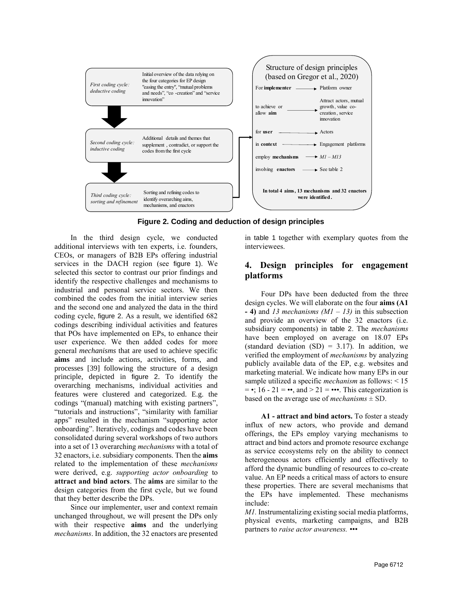

**Figure 2. Coding and deduction of design principles**

In the third design cycle, we conducted additional interviews with ten experts, i.e. founders, CEOs, or managers of B2B EPs offering industrial services in the DACH region (see figure 1). We selected this sector to contrast our prior findings and identify the respective challenges and mechanisms to industrial and personal service sectors. We then combined the codes from the initial interview series and the second one and analyzed the data in the third coding cycle, figure 2. As a result, we identified 682 codings describing individual activities and features that POs have implemented on EPs, to enhance their user experience. We then added codes for more general *mechanisms* that are used to achieve specific **aims** and include actions, activities, forms, and processes [39] following the structure of a design principle, depicted in figure 2. To identify the overarching mechanisms, individual activities and features were clustered and categorized. E.g. the codings "(manual) matching with existing partners" "tutorials and instructions", "similarity with familiar apps" resulted in the mechanism "supporting actor onboarding". Iteratively, codings and codes have been consolidated during several workshops of two authors into a set of 13 overarching *mechanisms* with a total of 32 enactors, i.e. subsidiary components. Then the **aims** related to the implementation of these *mechanisms* were derived, e.g. *supporting actor onboarding* to **attract and bind actors**. The **aims** are similar to the design categories from the first cycle, but we found that they better describe the DPs.

Since our implementer, user and context remain unchanged throughout, we will present the DPs only with their respective **aims** and the underlying *mechanisms*. In addition, the 32 enactors are presented in table 1 together with exemplary quotes from the interviewees.

## **4. Design principles for engagement platforms**

Four DPs have been deducted from the three design cycles. We will elaborate on the four **aims (A1 - 4)** and *13 mechanisms (M1 – 13)* in this subsection and provide an overview of the 32 enactors (i.e. subsidiary components) in table 2. The *mechanisms*  have been employed on average on 18.07 EPs (standard deviation  $(SD) = 3.17$ ). In addition, we verified the employment of *mechanisms* by analyzing publicly available data of the EP, e.g. websites and marketing material. We indicate how many EPs in our sample utilized a specific *mechanism* as follows: < 15  $= \cdot$ ; 16 - 21 =  $\cdot \cdot$ , and > 21 =  $\cdot \cdot \cdot$ . This categorization is based on the average use of *mechanisms*  $\pm$  SD.

**A1 - attract and bind actors.** To foster a steady influx of new actors, who provide and demand offerings, the EPs employ varying mechanisms to attract and bind actors and promote resource exchange as service ecosystems rely on the ability to connect heterogeneous actors efficiently and effectively to afford the dynamic bundling of resources to co-create value. An EP needs a critical mass of actors to ensure these properties. There are several mechanisms that the EPs have implemented. These mechanisms include:

*M1.* Instrumentalizing existing social media platforms, physical events, marketing campaigns, and B2B partners to *raise actor awareness. •••*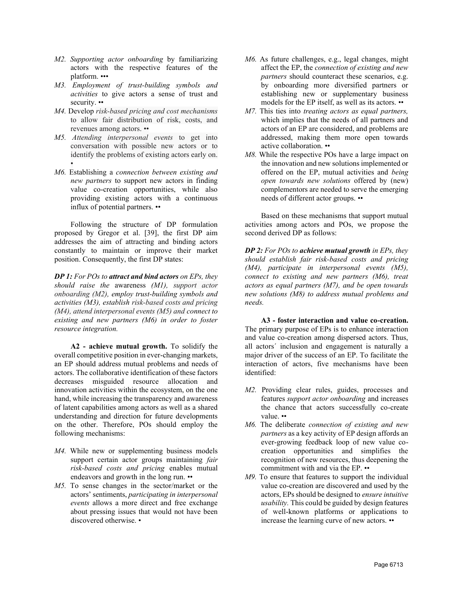- *M2. Supporting actor onboarding* by familiarizing actors with the respective features of the platform. •••
- *M3. Employment of trust-building symbols and activities* to give actors a sense of trust and security. ••
- *M4.* Develop *risk-based pricing and cost mechanisms* to allow fair distribution of risk, costs, and revenues among actors. ••
- *M5. Attending interpersonal events* to get into conversation with possible new actors or to identify the problems of existing actors early on. •
- *M6.* Establishing a *connection between existing and new partners* to support new actors in finding value co-creation opportunities, while also providing existing actors with a continuous influx of potential partners. ••

Following the structure of DP formulation proposed by Gregor et al. [39], the first DP aim addresses the aim of attracting and binding actors constantly to maintain or improve their market position. Consequently, the first DP states:

*DP 1: For POs to attract and bind actors on EPs, they should raise the* awareness *(M1), support actor onboarding (M2), employ trust-building symbols and activities (M3), establish risk-based costs and pricing (M4), attend interpersonal events (M5) and connect to existing and new partners (M6) in order to foster resource integration.*

**A2 - achieve mutual growth.** To solidify the overall competitive position in ever-changing markets, an EP should address mutual problems and needs of actors. The collaborative identification of these factors decreases misguided resource allocation and innovation activities within the ecosystem, on the one hand, while increasing the transparency and awareness of latent capabilities among actors as well as a shared understanding and direction for future developments on the other. Therefore, POs should employ the following mechanisms:

- *M4.* While new or supplementing business models support certain actor groups maintaining *fair risk-based costs and pricing* enables mutual endeavors and growth in the long run. ••
- *M5.* To sense changes in the sector/market or the actors' sentiments, *participating in interpersonal events* allows a more direct and free exchange about pressing issues that would not have been discovered otherwise. •
- *M6.* As future challenges, e.g., legal changes, might affect the EP, the *connection of existing and new partners* should counteract these scenarios, e.g. by onboarding more diversified partners or establishing new or supplementary business models for the EP itself, as well as its actors. ••
- *M7.* This ties into *treating actors as equal partners,* which implies that the needs of all partners and actors of an EP are considered, and problems are addressed, making them more open towards active collaboration. ••
- *M8.* While the respective POs have a large impact on the innovation and new solutions implemented or offered on the EP, mutual activities and *being open towards new solutions* offered by (new) complementors are needed to serve the emerging needs of different actor groups. ••

Based on these mechanisms that support mutual activities among actors and POs, we propose the second derived DP as follows:

*DP 2: For POs to achieve mutual growth in EPs, they should establish fair risk-based costs and pricing (M4), participate in interpersonal events (M5), connect to existing and new partners (M6), treat actors as equal partners (M7), and be open towards new solutions (M8) to address mutual problems and needs.*

**A3 - foster interaction and value co-creation.** The primary purpose of EPs is to enhance interaction and value co-creation among dispersed actors. Thus, all actors´ inclusion and engagement is naturally a major driver of the success of an EP. To facilitate the interaction of actors, five mechanisms have been identified:

- *M2.* Providing clear rules, guides, processes and features *support actor onboarding* and increases the chance that actors successfully co-create value. ••
- *M6.* The deliberate *connection of existing and new partners* as a key activity of EP design affords an ever-growing feedback loop of new value cocreation opportunities and simplifies the recognition of new resources, thus deepening the commitment with and via the EP. ••
- *M9.* To ensure that features to support the individual value co-creation are discovered and used by the actors, EPs should be designed to *ensure intuitive usability.* This could be guided by design features of well-known platforms or applications to increase the learning curve of new actors. ••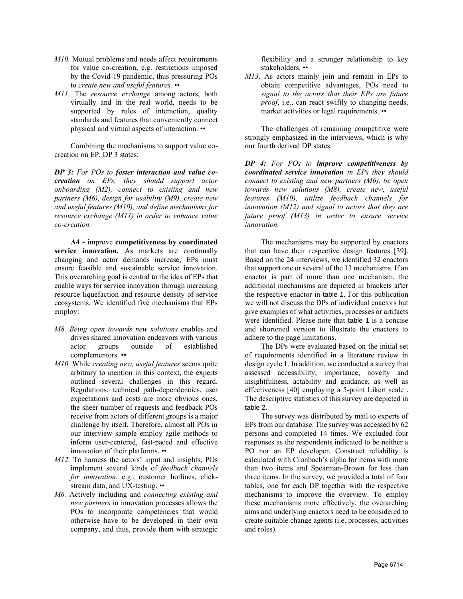- *M10.* Mutual problems and needs affect requirements for value co-creation, e.g. restrictions imposed by the Covid-19 pandemic, thus pressuring POs to *create new and useful features.* ••
- *M11.* The *resource exchange* among actors, both virtually and in the real world, needs to be supported by rules of interaction, quality standards and features that conveniently connect physical and virtual aspects of interaction. ••

Combining the mechanisms to support value cocreation on EP, DP 3 states:

*DP 3: For POs to foster interaction and value cocreation on EPs, they should support actor onboarding (M2), connect to existing and new partners (M6), design for usability (M9), create new and useful features (M10), and define mechanisms for resource exchange (M11) in order to enhance value co-creation.*

**A4 -** improve **competitiveness by coordinated service innovation***.* As markets are continually changing and actor demands increase, EPs must ensure feasible and sustainable service innovation. This overarching goal is central to the idea of EPs that enable ways for service innovation through increasing resource liquefaction and resource density of service ecosystems. We identified five mechanisms that EPs employ:

- *M8. Being open towards new solutions* enables and drives shared innovation endeavors with various actor groups outside of established complementors. ••
- *M10.* While *creating new, useful features* seems quite arbitrary to mention in this context, the experts outlined several challenges in this regard. Regulations, technical path-dependencies, user expectations and costs are more obvious ones, the sheer number of requests and feedback POs receive from actors of different groups is a major challenge by itself. Therefore, almost all POs in our interview sample employ agile methods to inform user-centered, fast-paced and effective innovation of their platforms. ••
- *M12.* To harness the actors' input and insights, POs implement several kinds of *feedback channels for innovation*, e.g., customer hotlines, clickstream data, and UX-testing. ••
- *M6.* Actively including and *connecting existing and new partners* in innovation processes allows the POs to incorporate competencies that would otherwise have to be developed in their own company, and thus, provide them with strategic

flexibility and a stronger relationship to key stakeholders. ••

*M13.* As actors mainly join and remain in EPs to obtain competitive advantages, POs need to *signal to the actors that their EPs are future proof*, i.e., can react swiftly to changing needs, market activities or legal requirements. ••

The challenges of remaining competitive were strongly emphasized in the interviews, which is why our fourth derived DP states:

*DP 4: For POs to improve competitiveness by coordinated service innovation in EPs they should connect to existing and new partners (M6), be open towards new solutions (M8), create new, useful features (M10), utilize feedback channels for innovation (M12) and signal to actors that they are future proof (M13) in order to ensure service innovation.*

The mechanisms may be supported by enactors that can have their respective design features [39]. Based on the 24 interviews, we identified 32 enactors that support one or several of the 13 mechanisms. If an enactor is part of more than one mechanism, the additional mechanisms are depicted in brackets after the respective enactor in table 1. For this publication we will not discuss the DPs of individual enactors but give examples of what activities, processes or artifacts were identified. Please note that table 1 is a concise and shortened version to illustrate the enactors to adhere to the page limitations.

The DPs were evaluated based on the initial set of requirements identified in a literature review in design cycle 1. In addition, we conducted a survey that assessed accessibility, importance, novelty and insightfulness, actability and guidance, as well as effectiveness [40] employing a 5-point Likert scale . The descriptive statistics of this survey are depicted in table 2.

The survey was distributed by mail to experts of EPs from our database. The survey was accessed by 62 persons and completed 14 times. We excluded four responses as the respondents indicated to be neither a PO nor an EP developer. Construct reliability is calculated with Cronbach's alpha for items with more than two items and Spearman-Brown for less than three items. In the survey, we provided a total of four tables, one for each DP together with the respective mechanisms to improve the overview. To employ these mechanisms more effectively, the overarching aims and underlying enactors need to be considered to create suitable change agents (i.e. processes, activities and roles).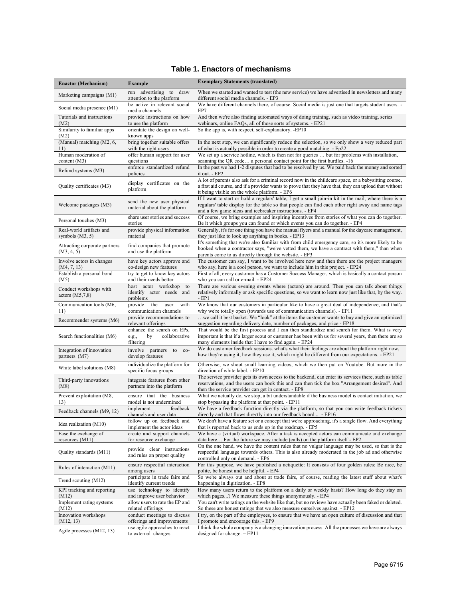## **Table 1. Enactors of mechanisms**

| <b>Enactor (Mechanism)</b>                    | <b>Example</b>                                                          | <b>Exemplary Statements (translated)</b>                                                                                                                                                                                                                              |
|-----------------------------------------------|-------------------------------------------------------------------------|-----------------------------------------------------------------------------------------------------------------------------------------------------------------------------------------------------------------------------------------------------------------------|
| Marketing campaigns (M1)                      | run advertising to draw<br>attention to the platform                    | When we started and wanted to test (the new service) we have advertised in newsletters and many<br>different social media channels. - EP3                                                                                                                             |
| Social media presence (M1)                    | be active in relevant social<br>media channels                          | We have different channels there, of course. Social media is just one that targets student users. -<br>EP7                                                                                                                                                            |
| Tutorials and instructions<br>(M2)            | provide instructions on how<br>to use the platform                      | And then we're also finding automated ways of doing training, such as video training, series<br>webinars, online FAQs, all of those sorts of systems. - EP21                                                                                                          |
| Similarity to familiar apps<br>(M2)           | orientate the design on well-<br>known apps                             | So the app is, with respect, self-explanatory. -EP10                                                                                                                                                                                                                  |
| (Manual) matching (M2, 6,<br>11)              | bring together suitable offers<br>with the right users                  | In the next step, we can significantly reduce the selection, so we only show a very reduced part<br>of what is actually possible in order to create a good matching. - Ep22                                                                                           |
| Human moderation of<br>content $(M3)$         | offer human support for user<br>questions                               | We set up a service hotline, which is then not for queries  but for problems with installation,<br>scanning the QR code a personal contact point for the first hurdles. -16                                                                                           |
| Refund systems (M3)                           | enforce standardized refund<br>policies                                 | In the past we had 1-2 disputes that had to be resolved by us. We paid back the money and sorted<br>it out. - EP2                                                                                                                                                     |
| Quality certificates (M3)                     | display certificates on the<br>platform                                 | A lot of parents also ask for a criminal record now in the childcare space, or a babysitting course,<br>a first aid course, and if a provider wants to prove that they have that, they can upload that without<br>it being visible on the whole platform. - EP6       |
| Welcome packages (M3)                         | send the new user physical<br>material about the platform               | If I want to start or hold a regulars' table, I get a small join-in kit in the mail, where there is a<br>regulars' table display for the table so that people can find each other right away and name tags<br>and a few game ideas and icebreaker instructions. - EP4 |
| Personal touches (M3)                         | share user stories and success<br>stories                               | Of course, we bring examples and inspiring incentives from stories of what you can do together.<br>Be it which groups you can found or which events you can do together. - EP4                                                                                        |
| Real-world artifacts and<br>symbols $(M3, 5)$ | provide physical information<br>material                                | Generally, it's for one thing you have the manual flyers and a manual for the daycare management,<br>they just like to look up anything in books. - EP13                                                                                                              |
| Attracting corporate partners<br>(M3, 4, 5)   | find companies that promote<br>and use the platform                     | It's something that we're also familiar with from child emergency care, so it's more likely to be<br>booked when a contractor says, "we've vetted them, we have a contract with them," than when<br>parents come to us directly through the website. - EP3            |
| Involve actors in changes<br>(M4, 7, 13)      | have key actors approve and<br>co-design new features                   | The customer can say, I want to be involved here now and then there are the project managers<br>who say, here is a cool person, we want to include him in this project. - EP24                                                                                        |
| Establish a personal bond<br>(M5)             | try to get to know key actors<br>and their needs better                 | First of all, every customer has a Customer Success Manager, which is basically a contact person<br>who you can call or e-mail. - EP24                                                                                                                                |
| Conduct workshops with<br>actors $(M5,7,8)$   | host actor workshop to<br>identify actor needs and<br>problems          | There are various evening events where (actors) are around. Then you can talk about things<br>relatively informally or ask specific questions, so we want to learn now just like that, by the way.<br>- EP1                                                           |
| Communication tools (M6,<br>11)               | provide<br>the<br>with<br>user<br>communication channels                | We know that our customers in particular like to have a great deal of independence, and that's<br>why we're totally open (towards use of communication channels). - EP11                                                                                              |
| Recommender systems (M6)                      | provide recommendations to<br>relevant offerings                        | we call it best basket. We "look" at the items the customer wants to buy and give an optimized<br>suggestion regarding delivery date, number of packages, and price - EP18                                                                                            |
| Search functionalities (M6)                   | enhance the search on EPs,<br>by<br>collaborative<br>e.g.,<br>filtering | That would be the first process and I can then standardize and search for them. What is very<br>important is that if a larger scout or customer has been with us for several years, then there are so<br>many elements inside that I have to find again. - EP24       |
| Integration of innovation<br>partners (M7)    | involve partners to co-<br>develop features                             | We do customer feedback sessions. what's what their feelings are about the platform right now,<br>how they're using it, how they use it, which might be different from our expectations. - EP21                                                                       |
| White label solutions (M8)                    | individualize the platform for<br>specific focus groups                 | Otherwise, we shoot small learning videos, which we then put on Youtube. But more in the<br>direction of white label. - EP10                                                                                                                                          |
| Third-party innovations<br>(M8)               | integrate features from other<br>partners into the platform             | The service provider gets its own access to the backend, can enter its services there, such as table<br>reservations, and the users can book this and can then tick the box "Arrangement desired". And<br>then the service provider can get in contact. - EP8         |
| Prevent exploitation (M8,<br>13)              | ensure that the business<br>model is not undermined                     | What we actually do, we stop, a bit understandable if the business model is contact initiation, we<br>stop bypassing the platform at that point. - EP11                                                                                                               |
| Feedback channels (M9, 12)                    | feedback<br>implement<br>channels and user data                         | We have a feedback function directly via the platform, so that you can write feedback tickets<br>directly and that flows directly into our feedback board - EP16                                                                                                      |
| Idea realization (M10)                        | follow up on feedback and<br>implement the actor ideas                  | We don't have a feature set or a concept that we're approaching, it's a single flow. And everything<br>that is reported back to us ends up in the roadmap. - EP5                                                                                                      |
| Ease the exchange of<br>resources (M11)       | create and support channels<br>for resource exchange                    | We have a (virtual) workspace. After a task is accepted actors can communicate and exchange<br>data here For the future we may include (calls) on the platform itself - EP2                                                                                           |
| Quality standards (M11)                       | provide clear instructions<br>and rules on proper quality               | On the one hand, we have the content rules that no vulgar language may be used, so that is the<br>respectful language towards others. This is also already moderated in the job ad and otherwise<br>controlled only on demand. - EP6                                  |
| Rules of interaction (M11)                    | ensure respectful interaction<br>among users                            | For this purpose, we have published a netiquette: It consists of four golden rules: Be nice, be<br>polite, be honest and be helpful. - EP4                                                                                                                            |
| Trend scouting (M12)                          | participate in trade fairs and<br>identify current trends               | So we're always out and about at trade fairs, of course, reading the latest stuff about what's<br>happening in digitization. - EP8                                                                                                                                    |
| KPI tracking and reporting<br>(M12)           | use technology to identify<br>and improve user behavior                 | How many users return to the platform on a daily or weekly basis? How long do they stay on<br>which pages? We measure these things anonymously. - EP4                                                                                                                 |
| Implement rating systems<br>(M12)             | allow users to rate the EP and<br>related offerings                     | You can't write ratings on the website like that, but no reviews have actually been faked or deleted.<br>So these are honest ratings that we also measure ourselves against. - EP12                                                                                   |
| Innovation workshops<br>(M12, 13)             | conduct meetings to discuss<br>offerings and improvements               | I try, on the part of the employees, to ensure that we have an open culture of discussion and that<br>I promote and encourage this. - EP9                                                                                                                             |
| Agile processes (M12, 13)                     | use agile approaches to react<br>to external changes                    | I think the whole company is a changing innovation process. All the processes we have are always<br>designed for change. $-EP11$                                                                                                                                      |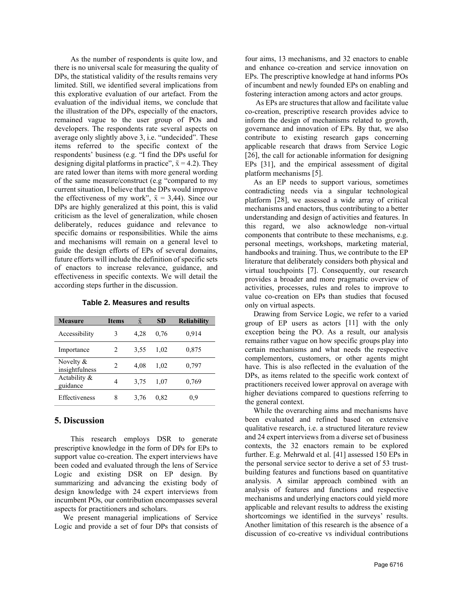As the number of respondents is quite low, and there is no universal scale for measuring the quality of DPs, the statistical validity of the results remains very limited. Still, we identified several implications from this explorative evaluation of our artefact. From the evaluation of the individual items, we conclude that the illustration of the DPs, especially of the enactors, remained vague to the user group of POs and developers. The respondents rate several aspects on average only slightly above 3, i.e. "undecided". These items referred to the specific context of the respondents' business (e.g. "I find the DPs useful for designing digital platforms in practice",  $\bar{x} = 4.2$ ). They are rated lower than items with more general wording of the same measure/construct (e.g "compared to my current situation, I believe that the DPs would improve the effectiveness of my work",  $\bar{x} = 3,44$ ). Since our DPs are highly generalized at this point, this is valid criticism as the level of generalization, while chosen deliberately, reduces guidance and relevance to specific domains or responsibilities. While the aims and mechanisms will remain on a general level to guide the design efforts of EPs of several domains, future efforts will include the definition of specific sets of enactors to increase relevance, guidance, and effectiveness in specific contexts. We will detail the according steps further in the discussion.

| <b>Measure</b>              | <b>Items</b> | $\mathbf{x}$ | <b>SD</b> | <b>Reliability</b> |
|-----------------------------|--------------|--------------|-----------|--------------------|
| Accessibility               | 3            | 4.28         | 0,76      | 0,914              |
| Importance                  | 2            | 3,55         | 1.02      | 0,875              |
| Novelty &<br>insightfulness | 2            | 4.08         | 1,02      | 0,797              |
| Actability &<br>guidance    | 4            | 3.75         | 1.07      | 0,769              |
| <b>Effectiveness</b>        | 8            | 3.76         | 0.82      | 0,9                |

**Table 2. Measures and results**

### **5. Discussion**

This research employs DSR to generate prescriptive knowledge in the form of DPs for EPs to support value co-creation. The expert interviews have been coded and evaluated through the lens of Service Logic and existing DSR on EP design. By summarizing and advancing the existing body of design knowledge with 24 expert interviews from incumbent POs, our contribution encompasses several aspects for practitioners and scholars.

We present managerial implications of Service Logic and provide a set of four DPs that consists of four aims, 13 mechanisms, and 32 enactors to enable and enhance co-creation and service innovation on EPs. The prescriptive knowledge at hand informs POs of incumbent and newly founded EPs on enabling and fostering interaction among actors and actor groups.

As EPs are structures that allow and facilitate value co-creation, prescriptive research provides advice to inform the design of mechanisms related to growth, governance and innovation of EPs. By that, we also contribute to existing research gaps concerning applicable research that draws from Service Logic [26], the call for actionable information for designing EPs [31], and the empirical assessment of digital platform mechanisms [5].

As an EP needs to support various, sometimes contradicting needs via a singular technological platform [28], we assessed a wide array of critical mechanisms and enactors, thus contributing to a better understanding and design of activities and features. In this regard, we also acknowledge non-virtual components that contribute to these mechanisms, e.g. personal meetings, workshops, marketing material, handbooks and training. Thus, we contribute to the EP literature that deliberately considers both physical and virtual touchpoints [7]. Consequently, our research provides a broader and more pragmatic overview of activities, processes, rules and roles to improve to value co-creation on EPs than studies that focused only on virtual aspects.

Drawing from Service Logic, we refer to a varied group of EP users as actors [11] with the only exception being the PO. As a result, our analysis remains rather vague on how specific groups play into certain mechanisms and what needs the respective complementors, customers, or other agents might have. This is also reflected in the evaluation of the DPs, as items related to the specific work context of practitioners received lower approval on average with higher deviations compared to questions referring to the general context.

While the overarching aims and mechanisms have been evaluated and refined based on extensive qualitative research, i.e. a structured literature review and 24 expert interviews from a diverse set of business contexts, the 32 enactors remain to be explored further. E.g. Mehrwald et al. [41] assessed 150 EPs in the personal service sector to derive a set of 53 trustbuilding features and functions based on quantitative analysis. A similar approach combined with an analysis of features and functions and respective mechanisms and underlying enactors could yield more applicable and relevant results to address the existing shortcomings we identified in the surveys' results. Another limitation of this research is the absence of a discussion of co-creative vs individual contributions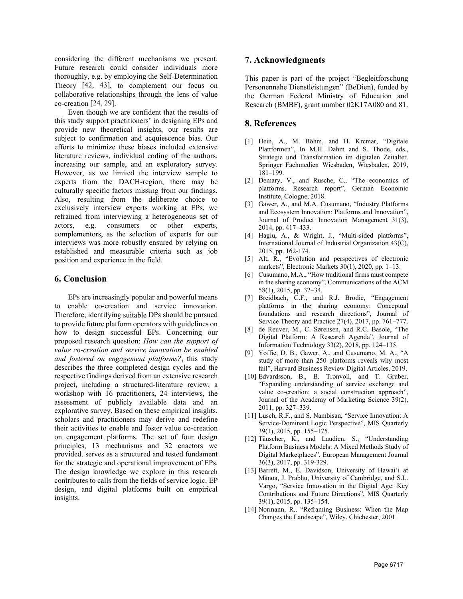considering the different mechanisms we present. Future research could consider individuals more thoroughly, e.g. by employing the Self-Determination Theory [42, 43], to complement our focus on collaborative relationships through the lens of value co-creation [24, 29].

Even though we are confident that the results of this study support practitioners' in designing EPs and provide new theoretical insights, our results are subject to confirmation and acquiescence bias. Our efforts to minimize these biases included extensive literature reviews, individual coding of the authors, increasing our sample, and an exploratory survey. However, as we limited the interview sample to experts from the DACH-region, there may be culturally specific factors missing from our findings. Also, resulting from the deliberate choice to exclusively interview experts working at EPs, we refrained from interviewing a heterogeneous set of actors, e.g. consumers or other experts, complementors, as the selection of experts for our interviews was more robustly ensured by relying on established and measurable criteria such as job position and experience in the field.

#### **6. Conclusion**

EPs are increasingly popular and powerful means to enable co-creation and service innovation. Therefore, identifying suitable DPs should be pursued to provide future platform operators with guidelines on how to design successful EPs. Concerning our proposed research question: *How can the support of value co-creation and service innovation be enabled and fostered on engagement platforms?*, this study describes the three completed design cycles and the respective findings derived from an extensive research project, including a structured-literature review, a workshop with 16 practitioners, 24 interviews, the assessment of publicly available data and an explorative survey. Based on these empirical insights, scholars and practitioners may derive and redefine their activities to enable and foster value co-creation on engagement platforms. The set of four design principles, 13 mechanisms and 32 enactors we provided, serves as a structured and tested fundament for the strategic and operational improvement of EPs. The design knowledge we explore in this research contributes to calls from the fields of service logic, EP design, and digital platforms built on empirical insights.

### **7. Acknowledgments**

This paper is part of the project "Begleitforschung Personennahe Dienstleistungen" (BeDien), funded by the German Federal Ministry of Education and Research (BMBF), grant number 02K17A080 and 81.

### **8. References**

- [1] Hein, A., M. Böhm, and H. Krcmar, "Digitale Plattformen", In M.H. Dahm and S. Thode, eds., Strategie und Transformation im digitalen Zeitalter. Springer Fachmedien Wiesbaden, Wiesbaden, 2019, 181–199.
- [2] Demary, V., and Rusche, C., "The economics of platforms. Research report", German Economic Institute, Cologne, 2018.
- [3] Gawer, A., and M.A. Cusumano, "Industry Platforms and Ecosystem Innovation: Platforms and Innovation", Journal of Product Innovation Management 31(3), 2014, pp. 417–433.
- [4] Hagiu, A., & Wright, J., "Multi-sided platforms", International Journal of Industrial Organization 43(C), 2015, pp. 162-174.
- [5] Alt, R., "Evolution and perspectives of electronic markets", Electronic Markets 30(1), 2020, pp. 1-13.
- [6] Cusumano, M.A., "How traditional firms must compete in the sharing economy", Communications of the ACM 58(1), 2015, pp. 32–34.
- [7] Breidbach, C.F., and R.J. Brodie, "Engagement platforms in the sharing economy: Conceptual foundations and research directions", Journal of Service Theory and Practice 27(4), 2017, pp. 761–777.
- [8] de Reuver, M., C. Sørensen, and R.C. Basole, "The Digital Platform: A Research Agenda", Journal of Information Technology 33(2), 2018, pp. 124–135.
- [9] Yoffie, D. B., Gawer, A., and Cusumano, M. A., "A study of more than 250 platforms reveals why most fail", Harvard Business Review Digital Articles, 2019.
- [10] Edvardsson, B., B. Tronvoll, and T. Gruber, "Expanding understanding of service exchange and value co-creation: a social construction approach", Journal of the Academy of Marketing Science 39(2), 2011, pp. 327–339.
- [11] Lusch, R.F., and S. Nambisan, "Service Innovation: A Service-Dominant Logic Perspective", MIS Quarterly 39(1), 2015, pp. 155–175.
- [12] Täuscher, K., and Laudien, S., "Understanding Platform Business Models: A Mixed Methods Study of Digital Marketplaces", European Management Journal 36(3), 2017, pp. 319-329.
- [13] Barrett, M., E. Davidson, University of Hawai'i at Mãnoa, J. Prabhu, University of Cambridge, and S.L. Vargo, "Service Innovation in the Digital Age: Key Contributions and Future Directions", MIS Quarterly 39(1), 2015, pp. 135–154.
- [14] Normann, R., "Reframing Business: When the Map Changes the Landscape", Wiley, Chichester, 2001.